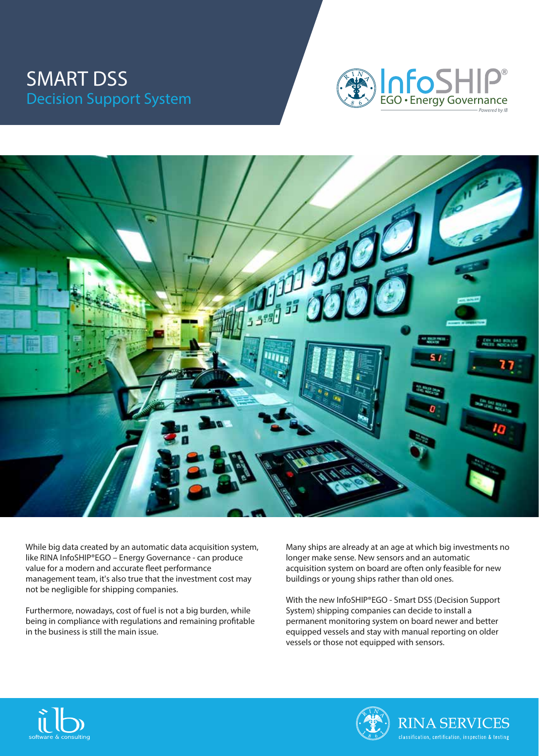## SMART DSS Decision Support System





While big data created by an automatic data acquisition system, like RINA InfoSHIP®EGO – Energy Governance - can produce value for a modern and accurate fleet performance management team, it's also true that the investment cost may not be negligible for shipping companies.

Furthermore, nowadays, cost of fuel is not a big burden, while being in compliance with regulations and remaining profitable in the business is still the main issue.

Many ships are already at an age at which big investments no longer make sense. New sensors and an automatic acquisition system on board are often only feasible for new buildings or young ships rather than old ones.

With the new InfoSHIP®EGO - Smart DSS (Decision Support System) shipping companies can decide to install a permanent monitoring system on board newer and better equipped vessels and stay with manual reporting on older vessels or those not equipped with sensors.